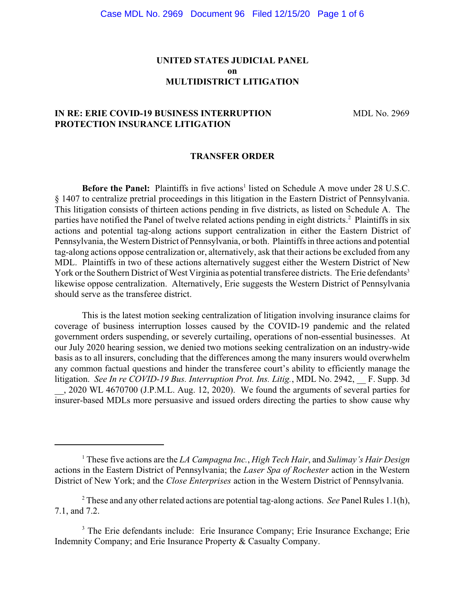## **UNITED STATES JUDICIAL PANEL on MULTIDISTRICT LITIGATION**

## **IN RE: ERIE COVID-19 BUSINESS INTERRUPTION MDL No. 2969 PROTECTION INSURANCE LITIGATION**

#### **TRANSFER ORDER**

Before the Panel: Plaintiffs in five actions<sup>1</sup> listed on Schedule A move under 28 U.S.C. § 1407 to centralize pretrial proceedings in this litigation in the Eastern District of Pennsylvania. This litigation consists of thirteen actions pending in five districts, as listed on Schedule A. The parties have notified the Panel of twelve related actions pending in eight districts.<sup>2</sup> Plaintiffs in six actions and potential tag-along actions support centralization in either the Eastern District of Pennsylvania, the Western District of Pennsylvania, or both. Plaintiffs in three actions and potential tag-along actions oppose centralization or, alternatively, ask that their actions be excluded from any MDL. Plaintiffs in two of these actions alternatively suggest either the Western District of New York or the Southern District of West Virginia as potential transferee districts. The Erie defendants<sup>3</sup> likewise oppose centralization. Alternatively, Erie suggests the Western District of Pennsylvania should serve as the transferee district.

This is the latest motion seeking centralization of litigation involving insurance claims for coverage of business interruption losses caused by the COVID-19 pandemic and the related government orders suspending, or severely curtailing, operations of non-essential businesses. At our July 2020 hearing session, we denied two motions seeking centralization on an industry-wide basis as to all insurers, concluding that the differences among the many insurers would overwhelm any common factual questions and hinder the transferee court's ability to efficiently manage the litigation. *See In re COVID-19 Bus. Interruption Prot. Ins. Litig.*, MDL No. 2942, F. Supp. 3d \_\_, 2020 WL 4670700 (J.P.M.L. Aug. 12, 2020). We found the arguments of several parties for insurer-based MDLs more persuasive and issued orders directing the parties to show cause why

<sup>1</sup> These five actions are the *LA Campagna Inc.*, *High Tech Hair*, and *Sulimay's Hair Design* actions in the Eastern District of Pennsylvania; the *Laser Spa of Rochester* action in the Western District of New York; and the *Close Enterprises* action in the Western District of Pennsylvania.

<sup>2</sup> These and any other related actions are potential tag-along actions. *See* Panel Rules 1.1(h), 7.1, and 7.2.

<sup>&</sup>lt;sup>3</sup> The Erie defendants include: Erie Insurance Company; Erie Insurance Exchange; Erie Indemnity Company; and Erie Insurance Property & Casualty Company.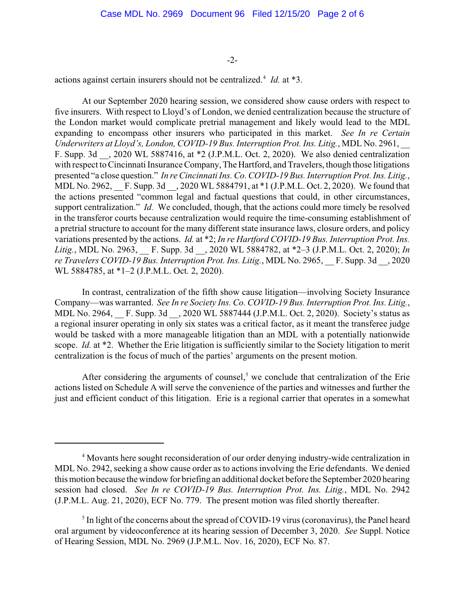-2-

actions against certain insurers should not be centralized.<sup>4</sup> *Id.* at \*3.

At our September 2020 hearing session, we considered show cause orders with respect to five insurers. With respect to Lloyd's of London, we denied centralization because the structure of the London market would complicate pretrial management and likely would lead to the MDL expanding to encompass other insurers who participated in this market. *See In re Certain Underwriters at Lloyd's, London, COVID-19 Bus. Interruption Prot. Ins. Litig.*, MDL No. 2961, \_\_ F. Supp. 3d \_\_, 2020 WL 5887416, at \*2 (J.P.M.L. Oct. 2, 2020). We also denied centralization with respect to Cincinnati Insurance Company, The Hartford, and Travelers, though those litigations presented "a close question." *In re Cincinnati Ins. Co. COVID-19 Bus. Interruption Prot. Ins. Litig.*, MDL No. 2962, F. Supp. 3d . 2020 WL 5884791, at \*1 (J.P.M.L. Oct. 2, 2020). We found that the actions presented "common legal and factual questions that could, in other circumstances, support centralization." *Id.* We concluded, though, that the actions could more timely be resolved in the transferor courts because centralization would require the time-consuming establishment of a pretrial structure to account for the many different state insurance laws, closure orders, and policy variations presented by the actions. *Id.* at \*2; *In re Hartford COVID-19 Bus. Interruption Prot. Ins. Litig.*, MDL No. 2963, \_\_ F. Supp. 3d \_\_, 2020 WL 5884782, at \*2–3 (J.P.M.L. Oct. 2, 2020); *In re Travelers COVID-19 Bus. Interruption Prot. Ins. Litig.*, MDL No. 2965, \_\_ F. Supp. 3d \_\_, 2020 WL 5884785, at \*1–2 (J.P.M.L. Oct. 2, 2020).

In contrast, centralization of the fifth show cause litigation—involving Society Insurance Company—was warranted. *See In re Society Ins. Co. COVID-19 Bus. Interruption Prot. Ins. Litig.*, MDL No. 2964, F. Supp. 3d . 2020 WL 5887444 (J.P.M.L. Oct. 2, 2020). Society's status as a regional insurer operating in only six states was a critical factor, as it meant the transferee judge would be tasked with a more manageable litigation than an MDL with a potentially nationwide scope. *Id.* at \*2. Whether the Erie litigation is sufficiently similar to the Society litigation to merit centralization is the focus of much of the parties' arguments on the present motion.

After considering the arguments of counsel,<sup>5</sup> we conclude that centralization of the Erie actions listed on Schedule A will serve the convenience of the parties and witnesses and further the just and efficient conduct of this litigation. Erie is a regional carrier that operates in a somewhat

<sup>4</sup> Movants here sought reconsideration of our order denying industry-wide centralization in MDL No. 2942, seeking a show cause order as to actions involving the Erie defendants. We denied this motion because the window for briefing an additional docket before the September 2020 hearing session had closed. *See In re COVID-19 Bus. Interruption Prot. Ins. Litig.*, MDL No. 2942 (J.P.M.L. Aug. 21, 2020), ECF No. 779. The present motion was filed shortly thereafter.

 $<sup>5</sup>$  In light of the concerns about the spread of COVID-19 virus (coronavirus), the Panel heard</sup> oral argument by videoconference at its hearing session of December 3, 2020. *See* Suppl. Notice of Hearing Session, MDL No. 2969 (J.P.M.L. Nov. 16, 2020), ECF No. 87.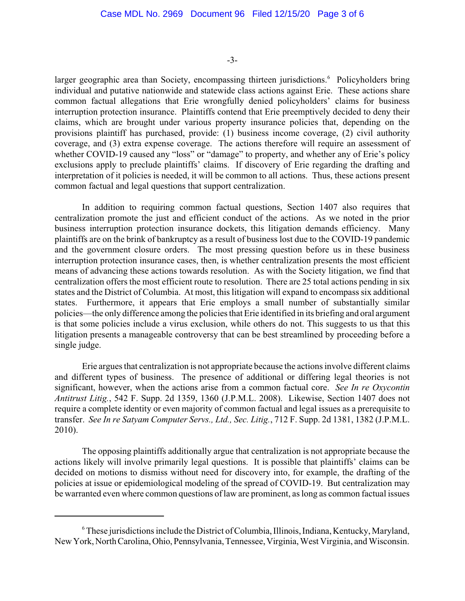-3-

larger geographic area than Society, encompassing thirteen jurisdictions.<sup>6</sup> Policyholders bring individual and putative nationwide and statewide class actions against Erie. These actions share common factual allegations that Erie wrongfully denied policyholders' claims for business interruption protection insurance. Plaintiffs contend that Erie preemptively decided to deny their claims, which are brought under various property insurance policies that, depending on the provisions plaintiff has purchased, provide: (1) business income coverage, (2) civil authority coverage, and (3) extra expense coverage. The actions therefore will require an assessment of whether COVID-19 caused any "loss" or "damage" to property, and whether any of Erie's policy exclusions apply to preclude plaintiffs' claims. If discovery of Erie regarding the drafting and interpretation of it policies is needed, it will be common to all actions. Thus, these actions present common factual and legal questions that support centralization.

In addition to requiring common factual questions, Section 1407 also requires that centralization promote the just and efficient conduct of the actions. As we noted in the prior business interruption protection insurance dockets, this litigation demands efficiency. Many plaintiffs are on the brink of bankruptcy as a result of business lost due to the COVID-19 pandemic and the government closure orders. The most pressing question before us in these business interruption protection insurance cases, then, is whether centralization presents the most efficient means of advancing these actions towards resolution. As with the Society litigation, we find that centralization offers the most efficient route to resolution. There are 25 total actions pending in six states and the District of Columbia. At most, this litigation will expand to encompass six additional states. Furthermore, it appears that Erie employs a small number of substantially similar policies—the only difference among the policies that Erie identified in its briefing and oral argument is that some policies include a virus exclusion, while others do not. This suggests to us that this litigation presents a manageable controversy that can be best streamlined by proceeding before a single judge.

Erie argues that centralization is not appropriate because the actions involve different claims and different types of business. The presence of additional or differing legal theories is not significant, however, when the actions arise from a common factual core. *See In re Oxycontin Antitrust Litig.*, 542 F. Supp. 2d 1359, 1360 (J.P.M.L. 2008). Likewise, Section 1407 does not require a complete identity or even majority of common factual and legal issues as a prerequisite to transfer. *See In re Satyam Computer Servs., Ltd., Sec. Litig.*, 712 F. Supp. 2d 1381, 1382 (J.P.M.L. 2010).

The opposing plaintiffs additionally argue that centralization is not appropriate because the actions likely will involve primarily legal questions. It is possible that plaintiffs' claims can be decided on motions to dismiss without need for discovery into, for example, the drafting of the policies at issue or epidemiological modeling of the spread of COVID-19. But centralization may be warranted even where common questions oflaw are prominent, as long as common factual issues

 $6$  These jurisdictions include the District of Columbia, Illinois, Indiana, Kentucky, Maryland, New York, North Carolina, Ohio, Pennsylvania, Tennessee, Virginia, West Virginia, and Wisconsin.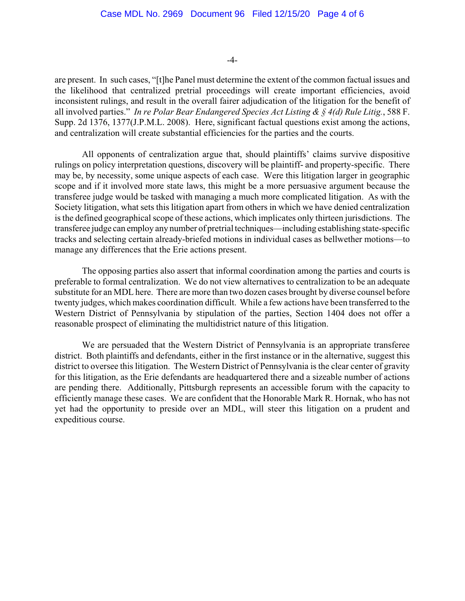-4-

are present. In such cases, "[t]he Panel must determine the extent of the common factual issues and the likelihood that centralized pretrial proceedings will create important efficiencies, avoid inconsistent rulings, and result in the overall fairer adjudication of the litigation for the benefit of all involved parties." *In re Polar Bear Endangered Species Act Listing & § 4(d) Rule Litig.*, 588 F. Supp. 2d 1376, 1377(J.P.M.L. 2008). Here, significant factual questions exist among the actions, and centralization will create substantial efficiencies for the parties and the courts.

All opponents of centralization argue that, should plaintiffs' claims survive dispositive rulings on policy interpretation questions, discovery will be plaintiff- and property-specific. There may be, by necessity, some unique aspects of each case. Were this litigation larger in geographic scope and if it involved more state laws, this might be a more persuasive argument because the transferee judge would be tasked with managing a much more complicated litigation. As with the Society litigation, what sets this litigation apart from others in which we have denied centralization is the defined geographical scope of these actions, which implicates only thirteen jurisdictions. The transferee judge can employ any number of pretrial techniques—including establishing state-specific tracks and selecting certain already-briefed motions in individual cases as bellwether motions—to manage any differences that the Erie actions present.

The opposing parties also assert that informal coordination among the parties and courts is preferable to formal centralization. We do not view alternatives to centralization to be an adequate substitute for an MDL here. There are more than two dozen cases brought by diverse counsel before twenty judges, which makes coordination difficult. While a few actions have been transferred to the Western District of Pennsylvania by stipulation of the parties, Section 1404 does not offer a reasonable prospect of eliminating the multidistrict nature of this litigation.

We are persuaded that the Western District of Pennsylvania is an appropriate transferee district. Both plaintiffs and defendants, either in the first instance or in the alternative, suggest this district to oversee this litigation. The Western District of Pennsylvania is the clear center of gravity for this litigation, as the Erie defendants are headquartered there and a sizeable number of actions are pending there. Additionally, Pittsburgh represents an accessible forum with the capacity to efficiently manage these cases. We are confident that the Honorable Mark R. Hornak, who has not yet had the opportunity to preside over an MDL, will steer this litigation on a prudent and expeditious course.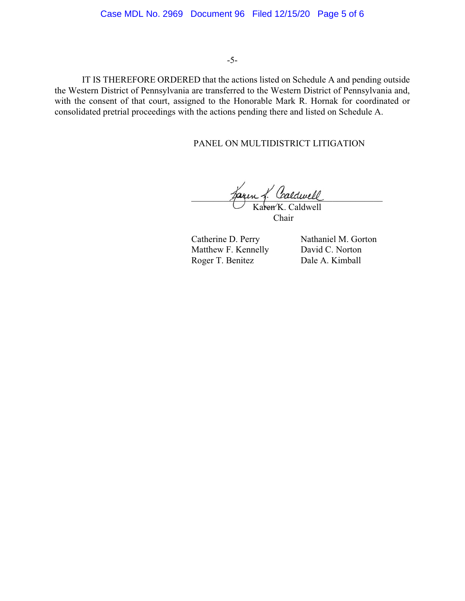-5-

IT IS THEREFORE ORDERED that the actions listed on Schedule A and pending outside the Western District of Pennsylvania are transferred to the Western District of Pennsylvania and, with the consent of that court, assigned to the Honorable Mark R. Hornak for coordinated or consolidated pretrial proceedings with the actions pending there and listed on Schedule A.

# PANEL ON MULTIDISTRICT LITIGATION

garen g. Caldwell

Karen K. Caldwell Chair

Matthew F. Kennelly David C. Norton Roger T. Benitez Dale A. Kimball

Catherine D. Perry Nathaniel M. Gorton